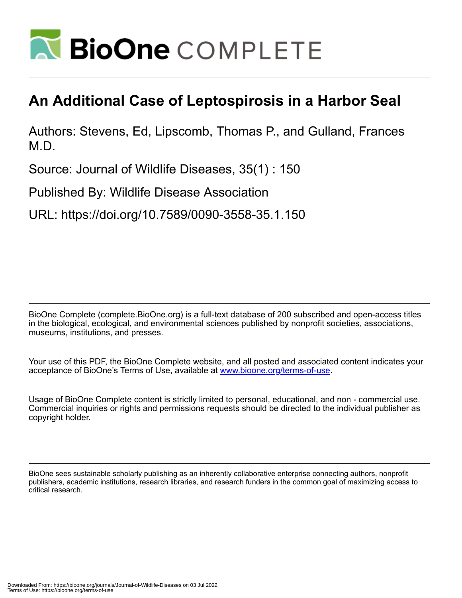

## **An Additional Case of Leptospirosis in a Harbor Seal**

Authors: Stevens, Ed, Lipscomb, Thomas P., and Gulland, Frances M.D.

Source: Journal of Wildlife Diseases, 35(1) : 150

Published By: Wildlife Disease Association

URL: https://doi.org/10.7589/0090-3558-35.1.150

BioOne Complete (complete.BioOne.org) is a full-text database of 200 subscribed and open-access titles in the biological, ecological, and environmental sciences published by nonprofit societies, associations, museums, institutions, and presses.

Your use of this PDF, the BioOne Complete website, and all posted and associated content indicates your acceptance of BioOne's Terms of Use, available at www.bioone.org/terms-of-use.

Usage of BioOne Complete content is strictly limited to personal, educational, and non - commercial use. Commercial inquiries or rights and permissions requests should be directed to the individual publisher as copyright holder.

BioOne sees sustainable scholarly publishing as an inherently collaborative enterprise connecting authors, nonprofit publishers, academic institutions, research libraries, and research funders in the common goal of maximizing access to critical research.